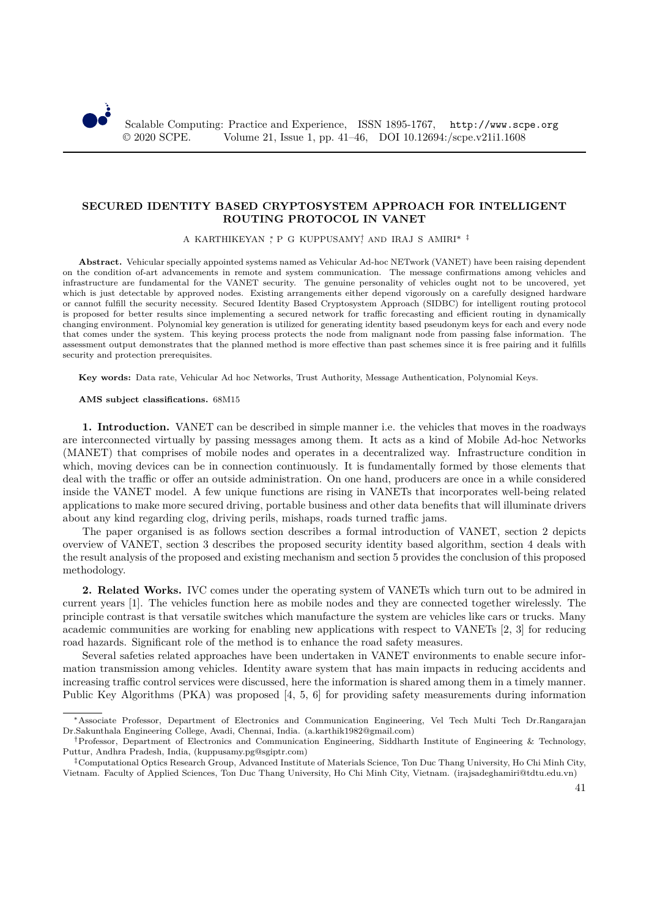

## **SECURED IDENTITY BASED CRYPTOSYSTEM APPROACH FOR INTELLIGENT ROUTING PROTOCOL IN VANET**

A KARTHIKEYAN ,\* P G KUPPUSAMY,† AND IRAJ S AMIRI\* ‡

**Abstract.** Vehicular specially appointed systems named as Vehicular Ad-hoc NETwork (VANET) have been raising dependent on the condition of-art advancements in remote and system communication. The message confirmations among vehicles and infrastructure are fundamental for the VANET security. The genuine personality of vehicles ought not to be uncovered, yet which is just detectable by approved nodes. Existing arrangements either depend vigorously on a carefully designed hardware or cannot fulfill the security necessity. Secured Identity Based Cryptosystem Approach (SIDBC) for intelligent routing protocol is proposed for better results since implementing a secured network for traffic forecasting and efficient routing in dynamically changing environment. Polynomial key generation is utilized for generating identity based pseudonym keys for each and every node that comes under the system. This keying process protects the node from malignant node from passing false information. The assessment output demonstrates that the planned method is more effective than past schemes since it is free pairing and it fulfills security and protection prerequisites.

**Key words:** Data rate, Vehicular Ad hoc Networks, Trust Authority, Message Authentication, Polynomial Keys.

## **AMS subject classifications.** 68M15

**1. Introduction.** VANET can be described in simple manner i.e. the vehicles that moves in the roadways are interconnected virtually by passing messages among them. It acts as a kind of Mobile Ad-hoc Networks (MANET) that comprises of mobile nodes and operates in a decentralized way. Infrastructure condition in which, moving devices can be in connection continuously. It is fundamentally formed by those elements that deal with the traffic or offer an outside administration. On one hand, producers are once in a while considered inside the VANET model. A few unique functions are rising in VANETs that incorporates well-being related applications to make more secured driving, portable business and other data benefits that will illuminate drivers about any kind regarding clog, driving perils, mishaps, roads turned traffic jams.

The paper organised is as follows section describes a formal introduction of VANET, section 2 depicts overview of VANET, section 3 describes the proposed security identity based algorithm, section 4 deals with the result analysis of the proposed and existing mechanism and section 5 provides the conclusion of this proposed methodology.

**2. Related Works.** IVC comes under the operating system of VANETs which turn out to be admired in current years [1]. The vehicles function here as mobile nodes and they are connected together wirelessly. The principle contrast is that versatile switches which manufacture the system are vehicles like cars or trucks. Many academic communities are working for enabling new applications with respect to VANETs [2, 3] for reducing road hazards. Significant role of the method is to enhance the road safety measures.

Several safeties related approaches have been undertaken in VANET environments to enable secure information transmission among vehicles. Identity aware system that has main impacts in reducing accidents and increasing traffic control services were discussed, here the information is shared among them in a timely manner. Public Key Algorithms (PKA) was proposed [4, 5, 6] for providing safety measurements during information

<sup>∗</sup>Associate Professor, Department of Electronics and Communication Engineering, Vel Tech Multi Tech Dr.Rangarajan Dr.Sakunthala Engineering College, Avadi, Chennai, India. (a.karthik1982@gmail.com)

<sup>†</sup>Professor, Department of Electronics and Communication Engineering, Siddharth Institute of Engineering & Technology, Puttur, Andhra Pradesh, India, (kuppusamy.pg@sgiptr.com)

<sup>‡</sup>Computational Optics Research Group, Advanced Institute of Materials Science, Ton Duc Thang University, Ho Chi Minh City, Vietnam. Faculty of Applied Sciences, Ton Duc Thang University, Ho Chi Minh City, Vietnam. (irajsadeghamiri@tdtu.edu.vn)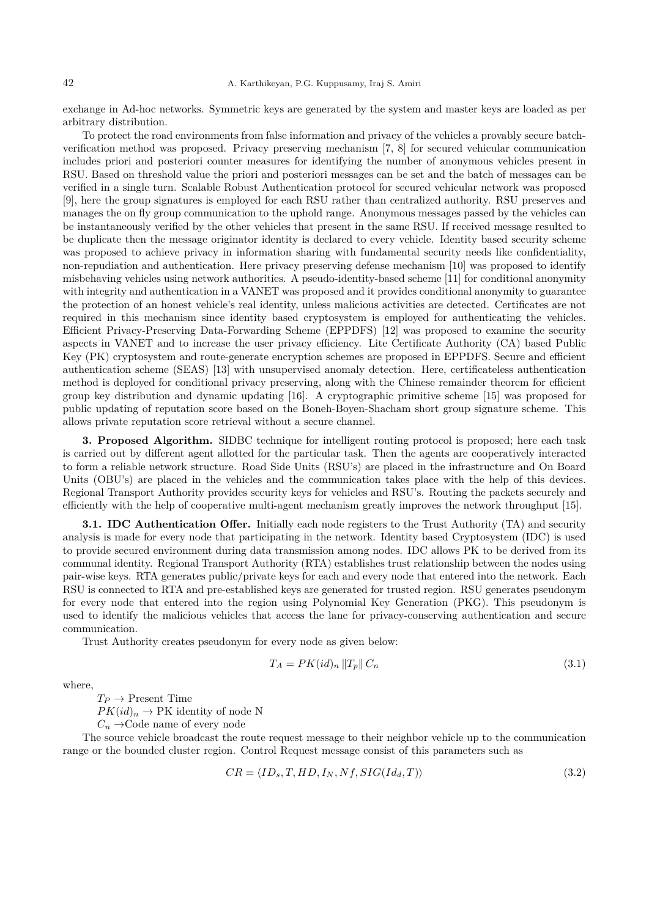exchange in Ad-hoc networks. Symmetric keys are generated by the system and master keys are loaded as per arbitrary distribution.

To protect the road environments from false information and privacy of the vehicles a provably secure batchverification method was proposed. Privacy preserving mechanism [7, 8] for secured vehicular communication includes priori and posteriori counter measures for identifying the number of anonymous vehicles present in RSU. Based on threshold value the priori and posteriori messages can be set and the batch of messages can be verified in a single turn. Scalable Robust Authentication protocol for secured vehicular network was proposed [9], here the group signatures is employed for each RSU rather than centralized authority. RSU preserves and manages the on fly group communication to the uphold range. Anonymous messages passed by the vehicles can be instantaneously verified by the other vehicles that present in the same RSU. If received message resulted to be duplicate then the message originator identity is declared to every vehicle. Identity based security scheme was proposed to achieve privacy in information sharing with fundamental security needs like confidentiality, non-repudiation and authentication. Here privacy preserving defense mechanism [10] was proposed to identify misbehaving vehicles using network authorities. A pseudo-identity-based scheme [11] for conditional anonymity with integrity and authentication in a VANET was proposed and it provides conditional anonymity to guarantee the protection of an honest vehicle's real identity, unless malicious activities are detected. Certificates are not required in this mechanism since identity based cryptosystem is employed for authenticating the vehicles. Efficient Privacy-Preserving Data-Forwarding Scheme (EPPDFS) [12] was proposed to examine the security aspects in VANET and to increase the user privacy efficiency. Lite Certificate Authority (CA) based Public Key (PK) cryptosystem and route-generate encryption schemes are proposed in EPPDFS. Secure and efficient authentication scheme (SEAS) [13] with unsupervised anomaly detection. Here, certificateless authentication method is deployed for conditional privacy preserving, along with the Chinese remainder theorem for efficient group key distribution and dynamic updating [16]. A cryptographic primitive scheme [15] was proposed for public updating of reputation score based on the Boneh-Boyen-Shacham short group signature scheme. This allows private reputation score retrieval without a secure channel.

**3. Proposed Algorithm.** SIDBC technique for intelligent routing protocol is proposed; here each task is carried out by different agent allotted for the particular task. Then the agents are cooperatively interacted to form a reliable network structure. Road Side Units (RSU's) are placed in the infrastructure and On Board Units (OBU's) are placed in the vehicles and the communication takes place with the help of this devices. Regional Transport Authority provides security keys for vehicles and RSU's. Routing the packets securely and efficiently with the help of cooperative multi-agent mechanism greatly improves the network throughput [15].

**3.1. IDC Authentication Offer.** Initially each node registers to the Trust Authority (TA) and security analysis is made for every node that participating in the network. Identity based Cryptosystem (IDC) is used to provide secured environment during data transmission among nodes. IDC allows PK to be derived from its communal identity. Regional Transport Authority (RTA) establishes trust relationship between the nodes using pair-wise keys. RTA generates public/private keys for each and every node that entered into the network. Each RSU is connected to RTA and pre-established keys are generated for trusted region. RSU generates pseudonym for every node that entered into the region using Polynomial Key Generation (PKG). This pseudonym is used to identify the malicious vehicles that access the lane for privacy-conserving authentication and secure communication.

Trust Authority creates pseudonym for every node as given below:

$$
T_A = PK(id)_n \|T_p\| C_n \tag{3.1}
$$

where,

 $T_P \rightarrow$  Present Time

 $PK(id)_n \to PK$  identity of node N

 $C_n \rightarrow$ Code name of every node

The source vehicle broadcast the route request message to their neighbor vehicle up to the communication range or the bounded cluster region. Control Request message consist of this parameters such as

$$
CR = \langle ID_s, T, HD, I_N, Nf, SIG(Id_d, T) \rangle \tag{3.2}
$$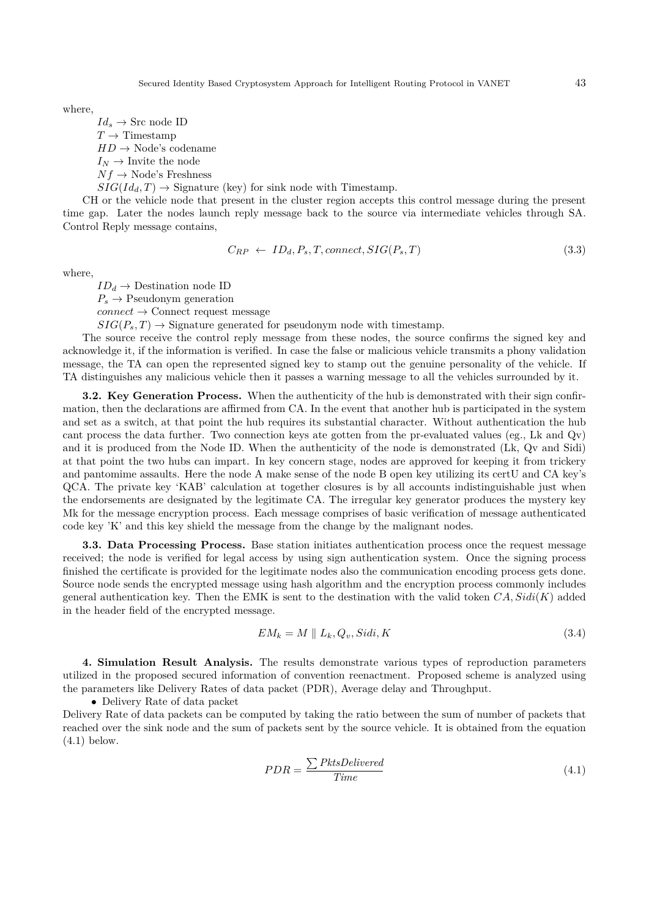Secured Identity Based Cryptosystem Approach for Intelligent Routing Protocol in VANET 43

where,

 $Id_s \to \text{Src node ID}$  $T \rightarrow$  Timestamp  $HD \rightarrow \text{Node's codename}$  $I_N \rightarrow$  Invite the node  $Nf \rightarrow \text{Node's Freshness}$  $SIG(Id_d, T) \rightarrow Signature$  (key) for sink node with Timestamp.

CH or the vehicle node that present in the cluster region accepts this control message during the present time gap. Later the nodes launch reply message back to the source via intermediate vehicles through SA. Control Reply message contains,

$$
C_{RP} \leftarrow ID_d, P_s, T, connect, SIG(P_s, T) \tag{3.3}
$$

where,

 $ID_d \rightarrow$  Destination node ID  $P_s \rightarrow$  Pseudonym generation  $connect \rightarrow$  Connect request message

 $SIG(P_s, T) \rightarrow$  Signature generated for pseudonym node with timestamp.

The source receive the control reply message from these nodes, the source confirms the signed key and acknowledge it, if the information is verified. In case the false or malicious vehicle transmits a phony validation message, the TA can open the represented signed key to stamp out the genuine personality of the vehicle. If TA distinguishes any malicious vehicle then it passes a warning message to all the vehicles surrounded by it.

**3.2. Key Generation Process.** When the authenticity of the hub is demonstrated with their sign confirmation, then the declarations are affirmed from CA. In the event that another hub is participated in the system and set as a switch, at that point the hub requires its substantial character. Without authentication the hub cant process the data further. Two connection keys ate gotten from the pr-evaluated values (eg., Lk and  $Qv$ ) and it is produced from the Node ID. When the authenticity of the node is demonstrated (Lk, Qv and Sidi) at that point the two hubs can impart. In key concern stage, nodes are approved for keeping it from trickery and pantomime assaults. Here the node A make sense of the node B open key utilizing its certU and CA key's QCA. The private key 'KAB' calculation at together closures is by all accounts indistinguishable just when the endorsements are designated by the legitimate CA. The irregular key generator produces the mystery key Mk for the message encryption process. Each message comprises of basic verification of message authenticated code key 'K' and this key shield the message from the change by the malignant nodes.

**3.3. Data Processing Process.** Base station initiates authentication process once the request message received; the node is verified for legal access by using sign authentication system. Once the signing process finished the certificate is provided for the legitimate nodes also the communication encoding process gets done. Source node sends the encrypted message using hash algorithm and the encryption process commonly includes general authentication key. Then the EMK is sent to the destination with the valid token  $CA, Sidi(K)$  added in the header field of the encrypted message.

$$
EM_k = M \parallel L_k, Q_v, Sidi, K \tag{3.4}
$$

**4. Simulation Result Analysis.** The results demonstrate various types of reproduction parameters utilized in the proposed secured information of convention reenactment. Proposed scheme is analyzed using the parameters like Delivery Rates of data packet (PDR), Average delay and Throughput.

• Delivery Rate of data packet

Delivery Rate of data packets can be computed by taking the ratio between the sum of number of packets that reached over the sink node and the sum of packets sent by the source vehicle. It is obtained from the equation (4.1) below.

$$
PDR = \frac{\sum PktsDelivered}{Time} \tag{4.1}
$$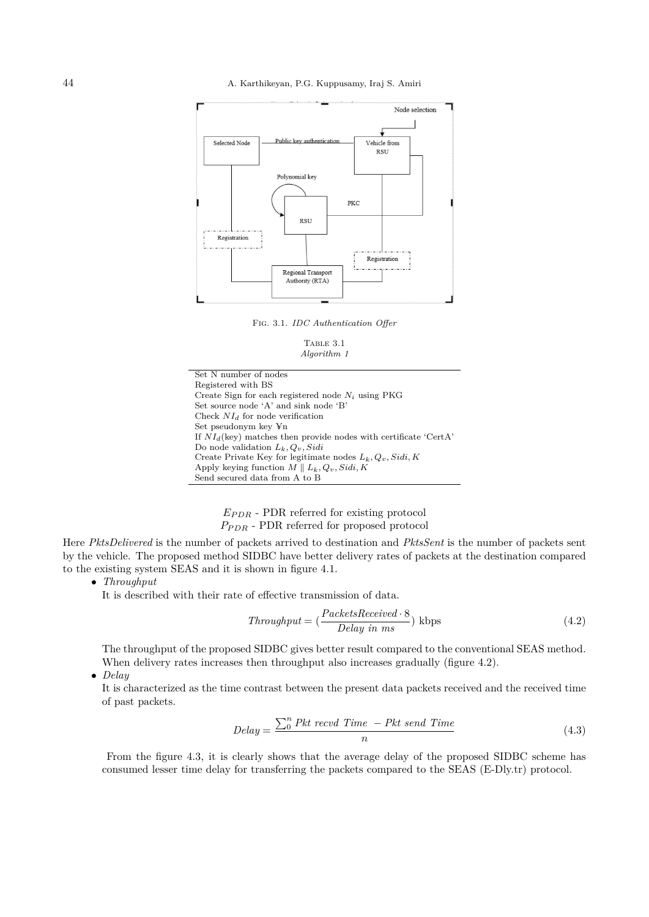

Fig. 3.1. *IDC Authentication Offer*

TABLE 3.1 *Algorithm 1*

Set N number of nodes Registered with BS Create Sign for each registered node  $N_i$  using PKG Set source node 'A' and sink node 'B' Check  $NI_d$  for node verification Set pseudonym key ¥n If  $NI_d$ (key) matches then provide nodes with certificate 'CertA' Do node validation  $L_k, Q_v, Sidi$ Create Private Key for legitimate nodes  $L_k, Q_v, Sidi, K$ Apply keying function  $\widetilde{M} \parallel L_k, Q_v, Sidi, K$ Send secured data from A to B

## $E_{PDR}$  - PDR referred for existing protocol  $P_{PDR}$  - PDR referred for proposed protocol

Here *PktsDelivered* is the number of packets arrived to destination and *PktsSent* is the number of packets sent by the vehicle. The proposed method SIDBC have better delivery rates of packets at the destination compared to the existing system SEAS and it is shown in figure 4.1.

• *Throughput*

It is described with their rate of effective transmission of data.

$$
Throughout = \left(\frac{PacketsReceived \cdot 8}{Delay \text{ in } ms}\right) \text{ kbps} \tag{4.2}
$$

The throughput of the proposed SIDBC gives better result compared to the conventional SEAS method. When delivery rates increases then throughput also increases gradually (figure 4.2).

• *Delay*

It is characterized as the time contrast between the present data packets received and the received time of past packets.

$$
Delay = \frac{\sum_{0}^{n} Pkt \text{ } record \text{ } Time}{n} \tag{4.3}
$$

From the figure 4.3, it is clearly shows that the average delay of the proposed SIDBC scheme has consumed lesser time delay for transferring the packets compared to the SEAS (E-Dly.tr) protocol.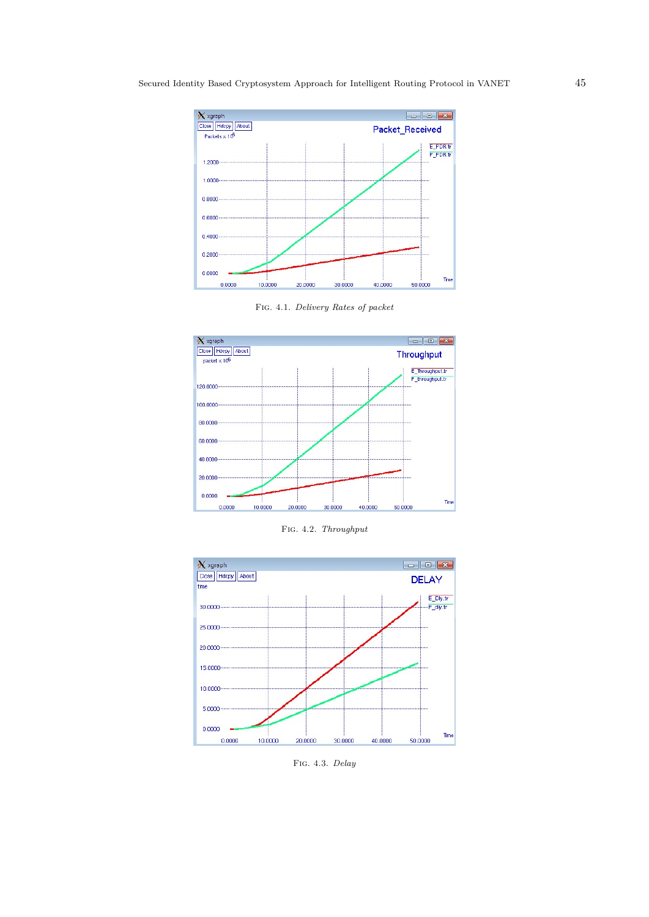

Fig. 4.1. *Delivery Rates of packet*



Fig. 4.2. *Throughput*



Fig. 4.3. *Delay*